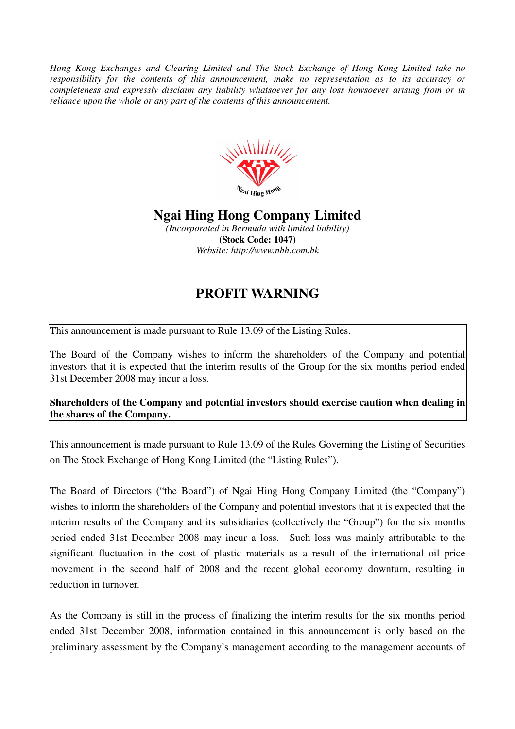*Hong Kong Exchanges and Clearing Limited and The Stock Exchange of Hong Kong Limited take no responsibility for the contents of this announcement, make no representation as to its accuracy or completeness and expressly disclaim any liability whatsoever for any loss howsoever arising from or in reliance upon the whole or any part of the contents of this announcement.* 



## **Ngai Hing Hong Company Limited**

*(Incorporated in Bermuda with limited liability)*  **(Stock Code: 1047)**  *Website: http://www.nhh.com.hk* 

## **PROFIT WARNING**

This announcement is made pursuant to Rule 13.09 of the Listing Rules.

The Board of the Company wishes to inform the shareholders of the Company and potential investors that it is expected that the interim results of the Group for the six months period ended 31st December 2008 may incur a loss.

**Shareholders of the Company and potential investors should exercise caution when dealing in the shares of the Company.** 

This announcement is made pursuant to Rule 13.09 of the Rules Governing the Listing of Securities on The Stock Exchange of Hong Kong Limited (the "Listing Rules").

The Board of Directors ("the Board") of Ngai Hing Hong Company Limited (the "Company") wishes to inform the shareholders of the Company and potential investors that it is expected that the interim results of the Company and its subsidiaries (collectively the "Group") for the six months period ended 31st December 2008 may incur a loss. Such loss was mainly attributable to the significant fluctuation in the cost of plastic materials as a result of the international oil price movement in the second half of 2008 and the recent global economy downturn, resulting in reduction in turnover.

As the Company is still in the process of finalizing the interim results for the six months period ended 31st December 2008, information contained in this announcement is only based on the preliminary assessment by the Company's management according to the management accounts of